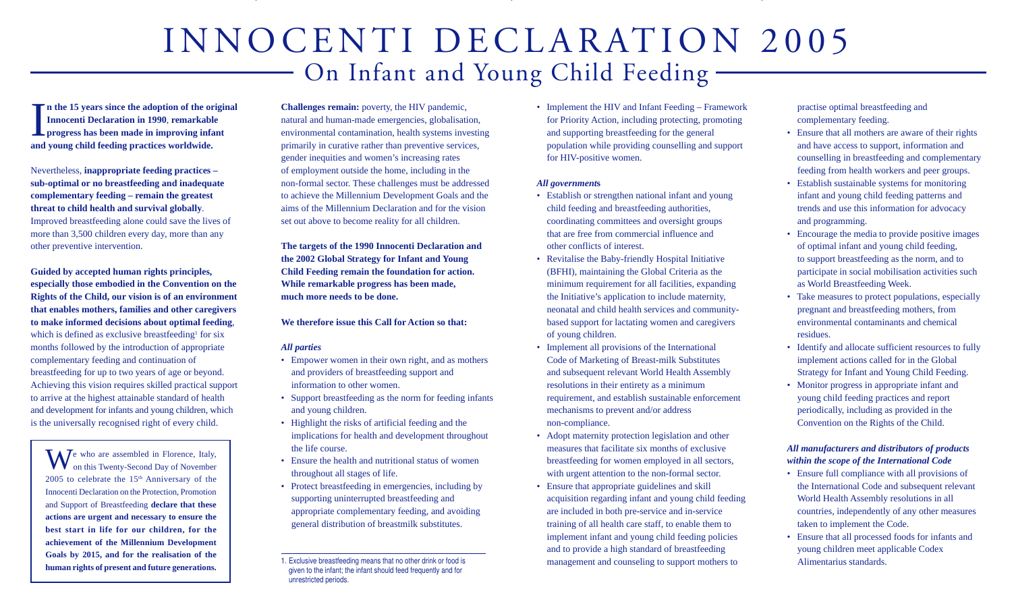# INNOCENTI DECLARATION 2005 On Infant and Young Child Feeding

Innocenti Declaration in 1990, remarkable<br>progress has been made in improving infant **and young child feeding practices worldwide.**

Nevertheless, **inappropriate feeding practices – sub-optimal or no breastfeeding and inadequate complementary feeding – remain the greatest threat to child health and survival globally**. Improved breastfeeding alone could save the lives of more than 3,500 children every day, more than any other preventive intervention.

**Guided by accepted human rights principles, especially those embodied in the Convention on the Rights of the Child, our vision is of an environment that enables mothers, families and other caregivers to make informed decisions about optimal feeding**, which is defined as exclusive breastfeeding<sup>1</sup> for six months followed by the introduction of appropriate complementary feeding and continuation of breastfeeding for up to two years of age or beyond. Achieving this vision requires skilled practical support to arrive at the highest attainable standard of health and development for infants and young children, which is the universally recognised right of every child.

We who are assembled in Florence, Italy, on this Twenty-Second Day of November 2005 to celebrate the  $15<sup>th</sup>$  Anniversary of the Innocenti Declaration on the Protection, Promotion and Support of Breastfeeding **declare that these actions are urgent and necessary to ensure the best start in life for our children, for the achievement of the Millennium Development Goals by 2015, and for the realisation of the**

**Challenges remain:** poverty, the HIV pandemic, natural and human-made emergencies, globalisation, environmental contamination, health systems investing primarily in curative rather than preventive services, gender inequities and women's increasing rates of employment outside the home, including in the non-formal sector. These challenges must be addressed to achieve the Millennium Development Goals and the aims of the Millennium Declaration and for the vision set out above to become reality for all children.

**The targets of the 1990 Innocenti Declaration and the 2002 Global Strategy for Infant and Young Child Feeding remain the foundation for action. While remarkable progress has been made, much more needs to be done.**

**We therefore issue this Call for Action so that:**

## *All parties*

- Empower women in their own right, and as mothers and providers of breastfeeding support and information to other women.
- Support breastfeeding as the norm for feeding infants and young children.
- Highlight the risks of artificial feeding and the implications for health and development throughout the life course.
- Ensure the health and nutritional status of women throughout all stages of life.
- Protect breastfeeding in emergencies, including by supporting uninterrupted breastfeeding and appropriate complementary feeding, and avoiding general distribution of breastmilk substitutes.
- **human rights of present and future generations.** The infant should feed frequently and for the infant should feed frequently and for unrestricted periods.

• Implement the HIV and Infant Feeding – Framework for Priority Action, including protecting, promoting and supporting breastfeeding for the general population while providing counselling and support for HIV-positive women.

#### *All government***<sup>s</sup>**

- Establish or strengthen national infant and young child feeding and breastfeeding authorities, coordinating committees and oversight groups that are free from commercial influence and other conflicts of interest.
- Revitalise the Baby-friendly Hospital Initiative (BFHI), maintaining the Global Criteria as the minimum requirement for all facilities, expanding the Initiative's application to include maternity, neonatal and child health services and communitybased support for lactating women and caregivers of young children.
- Implement all provisions of the International Code of Marketing of Breast-milk Substitutes and subsequent relevant World Health Assembly resolutions in their entirety as a minimum requirement, and establish sustainable enforcement mechanisms to prevent and/or address non-compliance.
- Adopt maternity protection legislation and other measures that facilitate six months of exclusive breastfeeding for women employed in all sectors, with urgent attention to the non-formal sector.
- Ensure that appropriate guidelines and skill acquisition regarding infant and young child feeding are included in both pre-service and in-service training of all health care staff, to enable them to implement infant and young child feeding policies and to provide a high standard of breastfeeding management and counseling to support mothers to

practise optimal breastfeeding and complementary feeding.

- Ensure that all mothers are aware of their rights and have access to support, information and counselling in breastfeeding and complementary feeding from health workers and peer groups.
- Establish sustainable systems for monitoring infant and young child feeding patterns and trends and use this information for advocacy and programming.
- Encourage the media to provide positive images of optimal infant and young child feeding, to support breastfeeding as the norm, and to participate in social mobilisation activities such as World Breastfeeding Week.
- Take measures to protect populations, especially pregnant and breastfeeding mothers, from environmental contaminants and chemical residues.
- Identify and allocate sufficient resources to fully implement actions called for in the Global Strategy for Infant and Young Child Feeding.
- Monitor progress in appropriate infant and young child feeding practices and report periodically, including as provided in the Convention on the Rights of the Child.

# *All manufacturers and distributors of products within the scope of the International Code*

- Ensure full compliance with all provisions of the International Code and subsequent relevant World Health Assembly resolutions in all countries, independently of any other measures taken to implement the Code.
- Ensure that all processed foods for infants and young children meet applicable Codex Alimentarius standards.